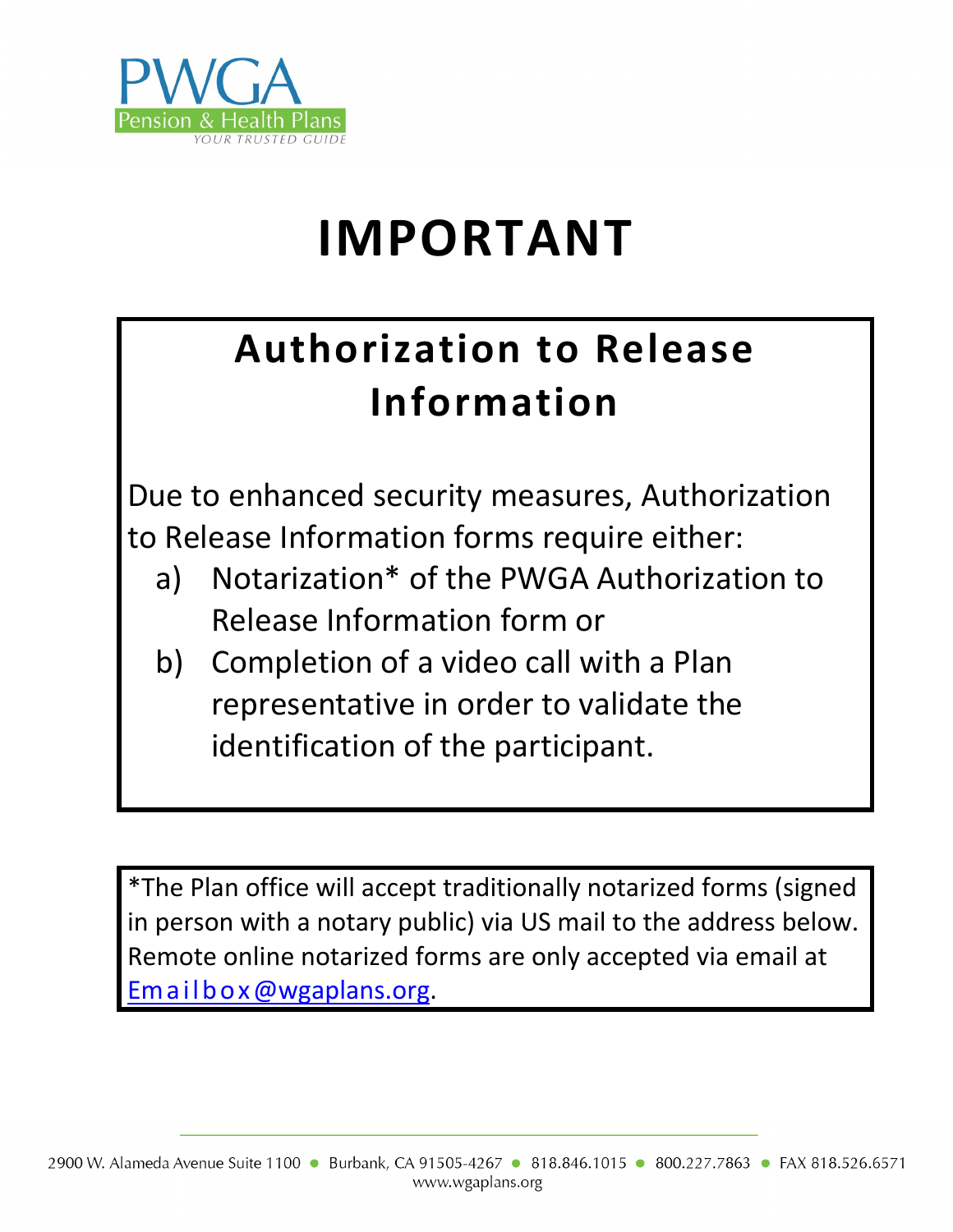

# **IMPORTANT**

## **Authorization to Release Information**

Due to enhanced security measures, Authorization to Release Information forms require either:

- a) Notarization\* of the PWGA Authorization to Release Information form or
- b) Completion of a video call with a Plan representative in order to validate the identification of the participant.

\*The Plan office will accept traditionally notarized forms (signed in person with a notary public) via US mail to the address below. Remote online notarized forms are only accepted via email at [Emailbox@wgaplans.org.](mailto:Emailbox@wgaplans.org)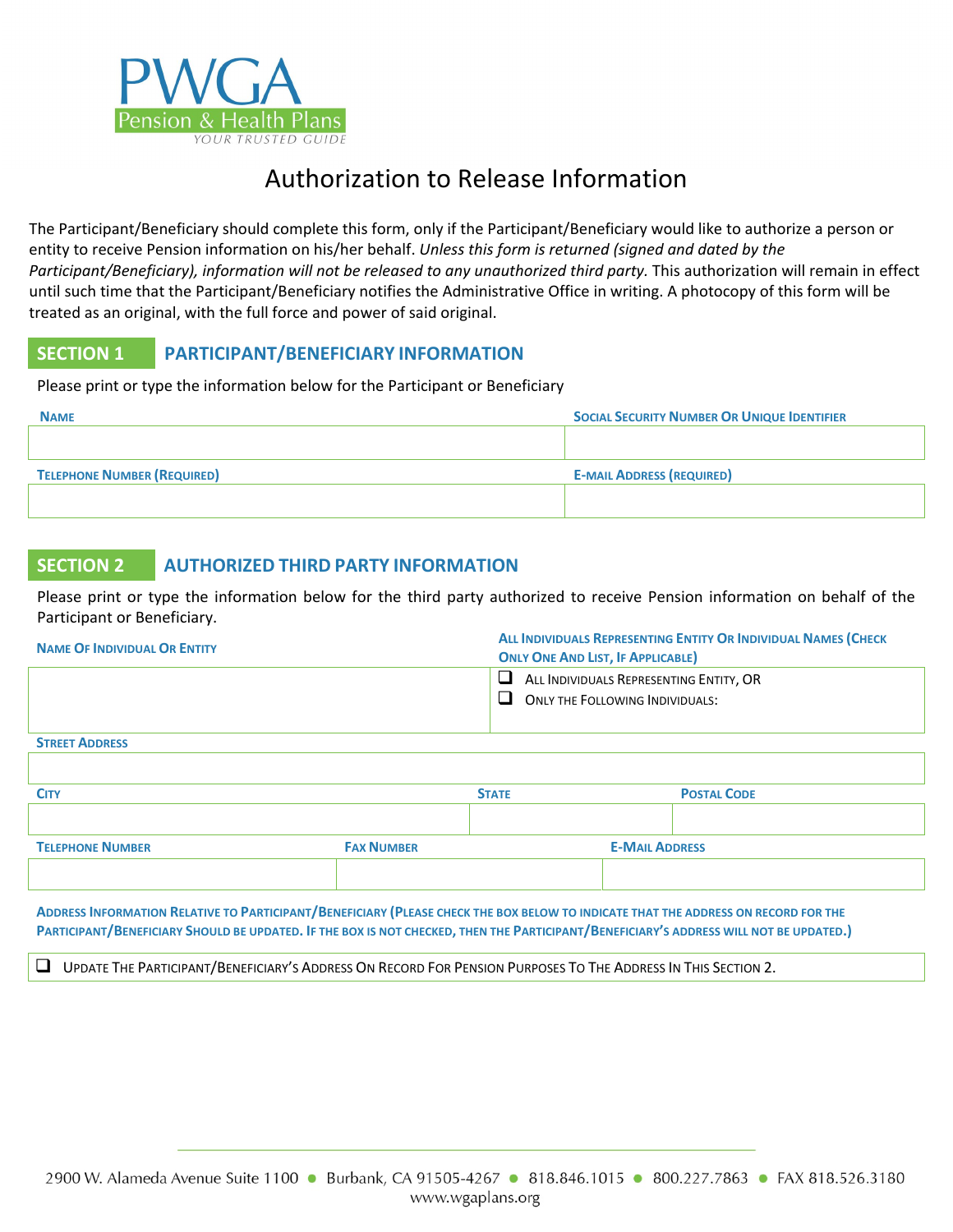

### Authorization to Release Information

The Participant/Beneficiary should complete this form, only if the Participant/Beneficiary would like to authorize a person or entity to receive Pension information on his/her behalf. *Unless this form is returned (signed and dated by the Participant/Beneficiary), information will not be released to any unauthorized third party.* This authorization will remain in effect until such time that the Participant/Beneficiary notifies the Administrative Office in writing. A photocopy of this form will be treated as an original, with the full force and power of said original.

#### **SECTION 1 PARTICIPANT/BENEFICIARY INFORMATION**

Please print or type the information below for the Participant or Beneficiary

| <b>NAME</b>                        | <b>SOCIAL SECURITY NUMBER OR UNIQUE IDENTIFIER</b> |
|------------------------------------|----------------------------------------------------|
|                                    |                                                    |
| <b>TELEPHONE NUMBER (REQUIRED)</b> | <b>E-MAIL ADDRESS (REQUIRED)</b>                   |
|                                    |                                                    |

#### **SECTION 2 AUTHORIZED THIRD PARTY INFORMATION**

Please print or type the information below for the third party authorized to receive Pension information on behalf of the Participant or Beneficiary.

| <b>NAME OF INDIVIDUAL OR ENTITY</b> | ALL INDIVIDUALS REPRESENTING ENTITY OR INDIVIDUAL NAMES (CHECK<br><b>ONLY ONE AND LIST, IF APPLICABLE)</b> |  |  |
|-------------------------------------|------------------------------------------------------------------------------------------------------------|--|--|
|                                     | ALL INDIVIDUALS REPRESENTING ENTITY, OR<br>ONLY THE FOLLOWING INDIVIDUALS:<br>$\mathbf{L}$                 |  |  |
| <b>STREET ADDRESS</b>               |                                                                                                            |  |  |

| <b>CITY</b>             |                   | <b>STATE</b> |                       | <b>POSTAL CODE</b> |
|-------------------------|-------------------|--------------|-----------------------|--------------------|
|                         |                   |              |                       |                    |
| <b>TELEPHONE NUMBER</b> | <b>FAX NUMBER</b> |              | <b>E-MAIL ADDRESS</b> |                    |
|                         |                   |              |                       |                    |

**ADDRESS INFORMATION RELATIVE TO PARTICIPANT/BENEFICIARY (PLEASE CHECK THE BOX BELOW TO INDICATE THAT THE ADDRESS ON RECORD FOR THE PARTICIPANT/BENEFICIARY SHOULD BE UPDATED. IF THE BOX IS NOT CHECKED, THEN THE PARTICIPANT/BENEFICIARY'S ADDRESS WILL NOT BE UPDATED.)**

UPDATE THE PARTICIPANT/BENEFICIARY'S ADDRESS ON RECORD FOR PENSION PURPOSES TO THE ADDRESS IN THIS SECTION 2.